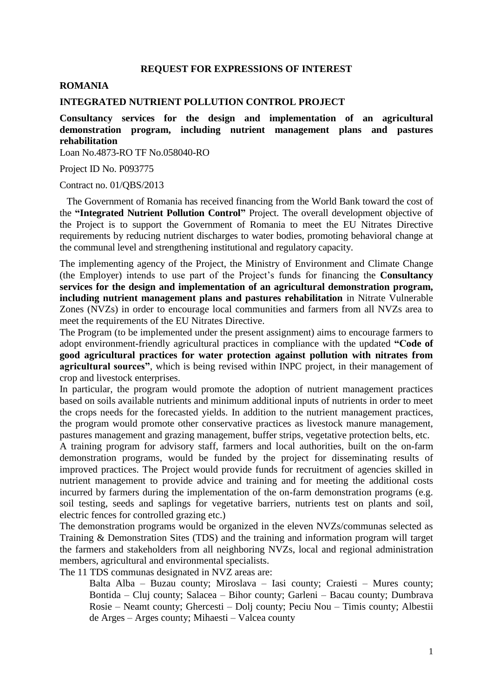### **REQUEST FOR EXPRESSIONS OF INTEREST**

## **ROMANIA**

#### **INTEGRATED NUTRIENT POLLUTION CONTROL PROJECT**

**Consultancy services for the design and implementation of an agricultural demonstration program, including nutrient management plans and pastures rehabilitation**

Loan No.4873-RO TF No.058040-RO

Project ID No. P093775

### Contract no. 01/QBS/2013

 The Government of Romania has received financing from the World Bank toward the cost of the **"Integrated Nutrient Pollution Control"** Project. The overall development objective of the Project is to support the Government of Romania to meet the EU Nitrates Directive requirements by reducing nutrient discharges to water bodies, promoting behavioral change at the communal level and strengthening institutional and regulatory capacity.

The implementing agency of the Project, the Ministry of Environment and Climate Change (the Employer) intends to use part of the Project's funds for financing the **Consultancy services for the design and implementation of an agricultural demonstration program, including nutrient management plans and pastures rehabilitation** in Nitrate Vulnerable Zones (NVZs) in order to encourage local communities and farmers from all NVZs area to meet the requirements of the EU Nitrates Directive.

The Program (to be implemented under the present assignment) aims to encourage farmers to adopt environment-friendly agricultural practices in compliance with the updated **"Code of good agricultural practices for water protection against pollution with nitrates from agricultural sources"**, which is being revised within INPC project, in their management of crop and livestock enterprises.

In particular, the program would promote the adoption of nutrient management practices based on soils available nutrients and minimum additional inputs of nutrients in order to meet the crops needs for the forecasted yields. In addition to the nutrient management practices, the program would promote other conservative practices as livestock manure management, pastures management and grazing management, buffer strips, vegetative protection belts, etc.

A training program for advisory staff, farmers and local authorities, built on the on-farm demonstration programs, would be funded by the project for disseminating results of improved practices. The Project would provide funds for recruitment of agencies skilled in nutrient management to provide advice and training and for meeting the additional costs incurred by farmers during the implementation of the on-farm demonstration programs (e.g. soil testing, seeds and saplings for vegetative barriers, nutrients test on plants and soil, electric fences for controlled grazing etc.)

The demonstration programs would be organized in the eleven NVZs/communas selected as Training & Demonstration Sites (TDS) and the training and information program will target the farmers and stakeholders from all neighboring NVZs, local and regional administration members, agricultural and environmental specialists.

The 11 TDS communas designated in NVZ areas are:

Balta Alba – Buzau county; Miroslava – Iasi county; Craiesti – Mures county; Bontida – Cluj county; Salacea – Bihor county; Garleni – Bacau county; Dumbrava Rosie – Neamt county; Ghercesti – Dolj county; Peciu Nou – Timis county; Albestii de Arges – Arges county; Mihaesti – Valcea county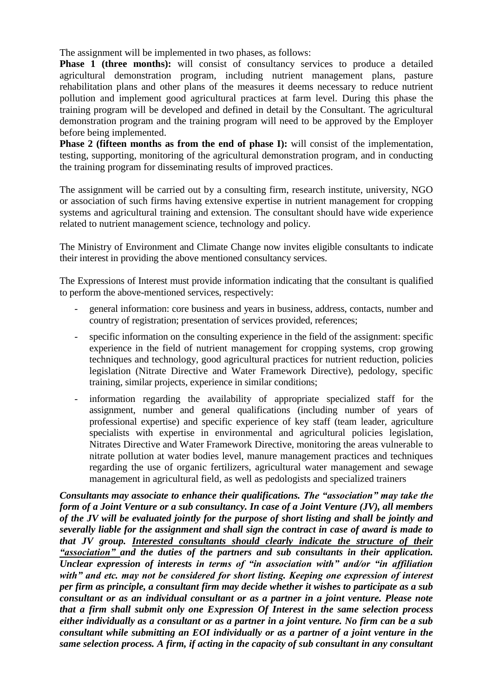The assignment will be implemented in two phases, as follows:

**Phase 1 (three months):** will consist of consultancy services to produce a detailed agricultural demonstration program, including nutrient management plans, pasture rehabilitation plans and other plans of the measures it deems necessary to reduce nutrient pollution and implement good agricultural practices at farm level. During this phase the training program will be developed and defined in detail by the Consultant. The agricultural demonstration program and the training program will need to be approved by the Employer before being implemented.

**Phase 2 (fifteen months as from the end of phase I):** will consist of the implementation, testing, supporting, monitoring of the agricultural demonstration program, and in conducting the training program for disseminating results of improved practices.

The assignment will be carried out by a consulting firm, research institute, university, NGO or association of such firms having extensive expertise in nutrient management for cropping systems and agricultural training and extension. The consultant should have wide experience related to nutrient management science, technology and policy.

The Ministry of Environment and Climate Change now invites eligible consultants to indicate their interest in providing the above mentioned consultancy services.

The Expressions of Interest must provide information indicating that the consultant is qualified to perform the above-mentioned services, respectively:

- general information: core business and years in business, address, contacts, number and country of registration; presentation of services provided, references;
- specific information on the consulting experience in the field of the assignment: specific experience in the field of nutrient management for cropping systems, crop growing techniques and technology, good agricultural practices for nutrient reduction, policies legislation (Nitrate Directive and Water Framework Directive), pedology, specific training, similar projects, experience in similar conditions;
- information regarding the availability of appropriate specialized staff for the assignment, number and general qualifications (including number of years of professional expertise) and specific experience of key staff (team leader, agriculture specialists with expertise in environmental and agricultural policies legislation, Nitrates Directive and Water Framework Directive, monitoring the areas vulnerable to nitrate pollution at water bodies level, manure management practices and techniques regarding the use of organic fertilizers, agricultural water management and sewage management in agricultural field, as well as pedologists and specialized trainers

*Consultants may associate to enhance their qualifications. The "association" may take the form of a Joint Venture or a sub consultancy. In case of a Joint Venture (JV), all members of the JV will be evaluated jointly for the purpose of short listing and shall be jointly and severally liable for the assignment and shall sign the contract in case of award is made to that JV group. Interested consultants should clearly indicate the structure of their "association" and the duties of the partners and sub consultants in their application. Unclear expression of interests in terms of "in association with" and/or "in affiliation with" and etc. may not be considered for short listing. Keeping one expression of interest per firm as principle, a consultant firm may decide whether it wishes to participate as a sub consultant or as an individual consultant or as a partner in a joint venture. Please note that a firm shall submit only one Expression Of Interest in the same selection process either individually as a consultant or as a partner in a joint venture. No firm can be a sub consultant while submitting an EOI individually or as a partner of a joint venture in the same selection process. A firm, if acting in the capacity of sub consultant in any consultant*